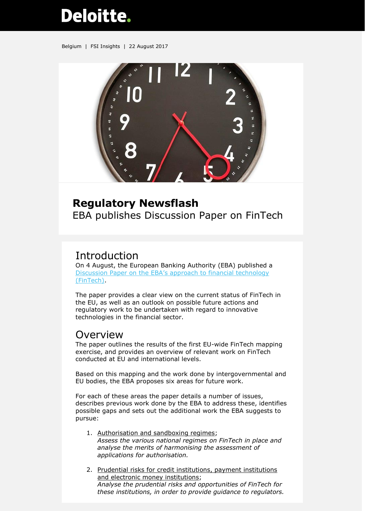# **Deloitte.**

Belgium | FSI Insights | 22 August 2017



#### **Regulatory Newsflash**

EBA publishes Discussion Paper on FinTech

## Introduction

On 4 August, the European Banking Authority (EBA) published a [Discussion Paper on the EBA's approach to financial technology](http://www.eba.europa.eu/documents/10180/1919160/EBA+Discussion+Paper+on+Fintech+%28EBA-DP-2017-02%29.pdf)  [\(FinTech\).](http://www.eba.europa.eu/documents/10180/1919160/EBA+Discussion+Paper+on+Fintech+%28EBA-DP-2017-02%29.pdf)

The paper provides a clear view on the current status of FinTech in the EU, as well as an outlook on possible future actions and regulatory work to be undertaken with regard to innovative technologies in the financial sector.

### Overview

The paper outlines the results of the first EU-wide FinTech mapping exercise, and provides an overview of relevant work on FinTech conducted at EU and international levels.

Based on this mapping and the work done by intergovernmental and EU bodies, the EBA proposes six areas for future work.

For each of these areas the paper details a number of issues, describes previous work done by the EBA to address these, identifies possible gaps and sets out the additional work the EBA suggests to pursue:

- 1. Authorisation and sandboxing regimes; *Assess the various national regimes on FinTech in place and analyse the merits of harmonising the assessment of applications for authorisation.*
- 2. Prudential risks for credit institutions, payment institutions and electronic money institutions; *Analyse the prudential risks and opportunities of FinTech for these institutions, in order to provide guidance to regulators.*